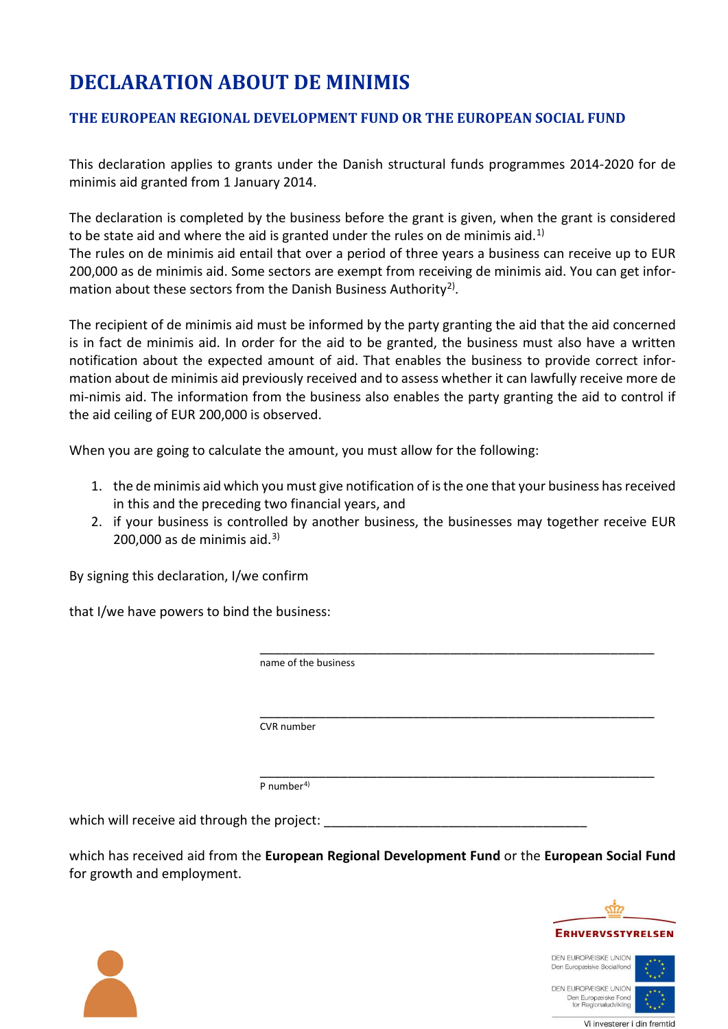## **DECLARATION ABOUT DE MINIMIS**

## **THE EUROPEAN REGIONAL DEVELOPMENT FUND OR THE EUROPEAN SOCIAL FUND**

This declaration applies to grants under the Danish structural funds programmes 2014-2020 for de minimis aid granted from 1 January 2014.

The declaration is completed by the business before the grant is given, when the grant is considered to be state aid and where the aid is granted under the rules on de minimis aid.<sup>[1\)](#page-1-0)</sup>

The rules on de minimis aid entail that over a period of three years a business can receive up to EUR 200,000 as de minimis aid. Some sectors are exempt from receiving de minimis aid. You can get infor-mation about these sectors from the Danish Business Authority<sup>[2\)](#page-1-1)</sup>.

The recipient of de minimis aid must be informed by the party granting the aid that the aid concerned is in fact de minimis aid. In order for the aid to be granted, the business must also have a written notification about the expected amount of aid. That enables the business to provide correct information about de minimis aid previously received and to assess whether it can lawfully receive more de mi-nimis aid. The information from the business also enables the party granting the aid to control if the aid ceiling of EUR 200,000 is observed.

When you are going to calculate the amount, you must allow for the following:

- 1. the de minimis aid which you must give notification of is the one that your business has received in this and the preceding two financial years, and
- 2. if your business is controlled by another business, the businesses may together receive EUR 200,000 as de minimis aid. $3$

By signing this declaration, I/we confirm

that I/we have powers to bind the business:

 \_\_\_\_\_\_\_\_\_\_\_\_\_\_\_\_\_\_\_\_\_\_\_\_\_\_\_\_\_\_\_\_\_\_\_\_\_\_\_\_\_\_\_\_\_\_\_\_\_\_\_\_\_\_ name of the business \_\_\_\_\_\_\_\_\_\_\_\_\_\_\_\_\_\_\_\_\_\_\_\_\_\_\_\_\_\_\_\_\_\_\_\_\_\_\_\_\_\_\_\_\_\_\_\_\_\_\_\_\_\_ CVR number \_\_\_\_\_\_\_\_\_\_\_\_\_\_\_\_\_\_\_\_\_\_\_\_\_\_\_\_\_\_\_\_\_\_\_\_\_\_\_\_\_\_\_\_\_\_\_\_\_\_\_\_\_\_ P number[4\)](#page-1-3) which will receive aid through the project:

which has received aid from the **European Regional Development Fund** or the **European Social Fund** for growth and employment.



DEN EUROPÆISKE UNION Den Europæiske Socialfond

**DEN EUROPÆISKE UNION** Den Europæiske Fond<br>for Regionaludvikling

Vi investerer i din fremtid